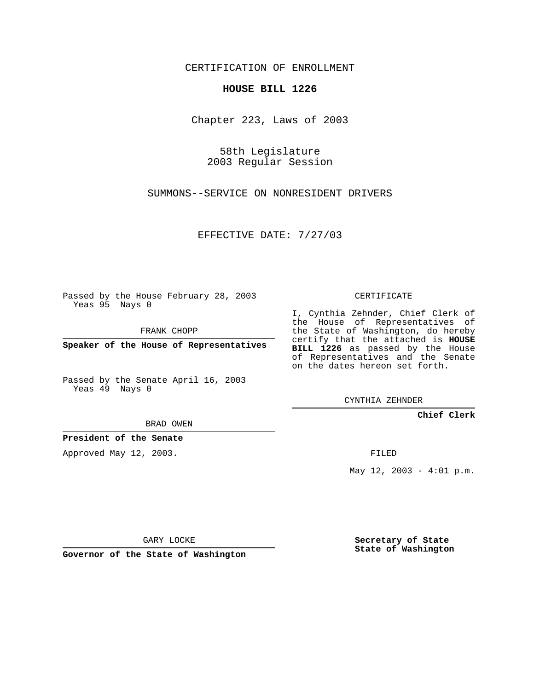CERTIFICATION OF ENROLLMENT

## **HOUSE BILL 1226**

Chapter 223, Laws of 2003

58th Legislature 2003 Regular Session

SUMMONS--SERVICE ON NONRESIDENT DRIVERS

EFFECTIVE DATE: 7/27/03

Passed by the House February 28, 2003 Yeas 95 Nays 0

FRANK CHOPP

**Speaker of the House of Representatives**

Passed by the Senate April 16, 2003 Yeas 49 Nays 0

BRAD OWEN

**President of the Senate**

Approved May 12, 2003.

CERTIFICATE

I, Cynthia Zehnder, Chief Clerk of the House of Representatives of the State of Washington, do hereby certify that the attached is **HOUSE BILL 1226** as passed by the House of Representatives and the Senate on the dates hereon set forth.

CYNTHIA ZEHNDER

**Chief Clerk**

FILED

May  $12$ ,  $2003 - 4:01$  p.m.

GARY LOCKE

**Governor of the State of Washington**

**Secretary of State State of Washington**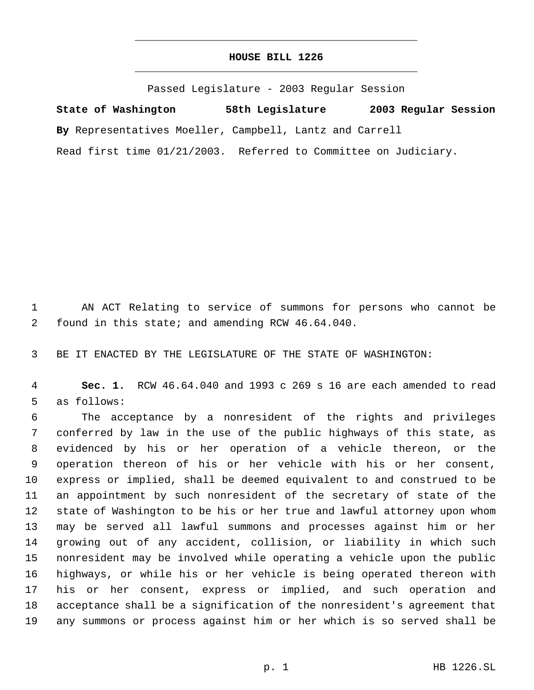## **HOUSE BILL 1226** \_\_\_\_\_\_\_\_\_\_\_\_\_\_\_\_\_\_\_\_\_\_\_\_\_\_\_\_\_\_\_\_\_\_\_\_\_\_\_\_\_\_\_\_\_

\_\_\_\_\_\_\_\_\_\_\_\_\_\_\_\_\_\_\_\_\_\_\_\_\_\_\_\_\_\_\_\_\_\_\_\_\_\_\_\_\_\_\_\_\_

Passed Legislature - 2003 Regular Session

**State of Washington 58th Legislature 2003 Regular Session By** Representatives Moeller, Campbell, Lantz and Carrell Read first time 01/21/2003. Referred to Committee on Judiciary.

 AN ACT Relating to service of summons for persons who cannot be found in this state; and amending RCW 46.64.040.

BE IT ENACTED BY THE LEGISLATURE OF THE STATE OF WASHINGTON:

 **Sec. 1.** RCW 46.64.040 and 1993 c 269 s 16 are each amended to read as follows:

 The acceptance by a nonresident of the rights and privileges conferred by law in the use of the public highways of this state, as evidenced by his or her operation of a vehicle thereon, or the operation thereon of his or her vehicle with his or her consent, express or implied, shall be deemed equivalent to and construed to be an appointment by such nonresident of the secretary of state of the state of Washington to be his or her true and lawful attorney upon whom may be served all lawful summons and processes against him or her growing out of any accident, collision, or liability in which such nonresident may be involved while operating a vehicle upon the public highways, or while his or her vehicle is being operated thereon with his or her consent, express or implied, and such operation and acceptance shall be a signification of the nonresident's agreement that any summons or process against him or her which is so served shall be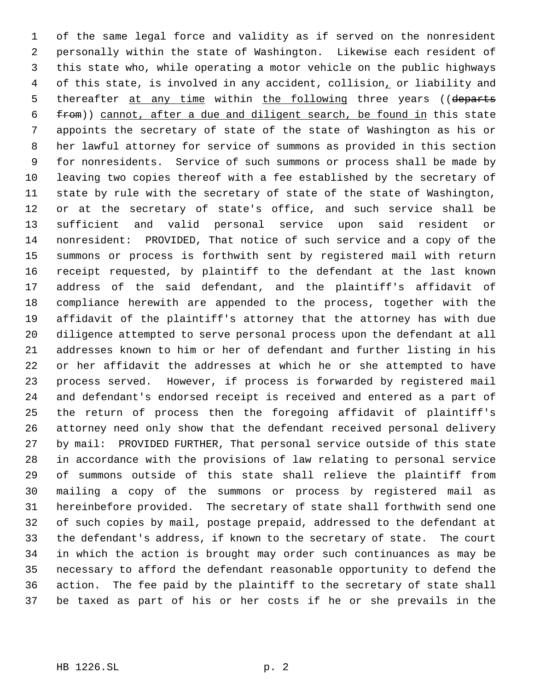of the same legal force and validity as if served on the nonresident personally within the state of Washington. Likewise each resident of this state who, while operating a motor vehicle on the public highways of this state, is involved in any accident, collision, or liability and 5 thereafter at any time within the following three years ((departs from)) cannot, after a due and diligent search, be found in this state appoints the secretary of state of the state of Washington as his or her lawful attorney for service of summons as provided in this section for nonresidents. Service of such summons or process shall be made by leaving two copies thereof with a fee established by the secretary of state by rule with the secretary of state of the state of Washington, or at the secretary of state's office, and such service shall be sufficient and valid personal service upon said resident or nonresident: PROVIDED, That notice of such service and a copy of the summons or process is forthwith sent by registered mail with return receipt requested, by plaintiff to the defendant at the last known address of the said defendant, and the plaintiff's affidavit of compliance herewith are appended to the process, together with the affidavit of the plaintiff's attorney that the attorney has with due diligence attempted to serve personal process upon the defendant at all addresses known to him or her of defendant and further listing in his or her affidavit the addresses at which he or she attempted to have process served. However, if process is forwarded by registered mail and defendant's endorsed receipt is received and entered as a part of the return of process then the foregoing affidavit of plaintiff's attorney need only show that the defendant received personal delivery by mail: PROVIDED FURTHER, That personal service outside of this state in accordance with the provisions of law relating to personal service of summons outside of this state shall relieve the plaintiff from mailing a copy of the summons or process by registered mail as hereinbefore provided. The secretary of state shall forthwith send one of such copies by mail, postage prepaid, addressed to the defendant at the defendant's address, if known to the secretary of state. The court in which the action is brought may order such continuances as may be necessary to afford the defendant reasonable opportunity to defend the action. The fee paid by the plaintiff to the secretary of state shall be taxed as part of his or her costs if he or she prevails in the